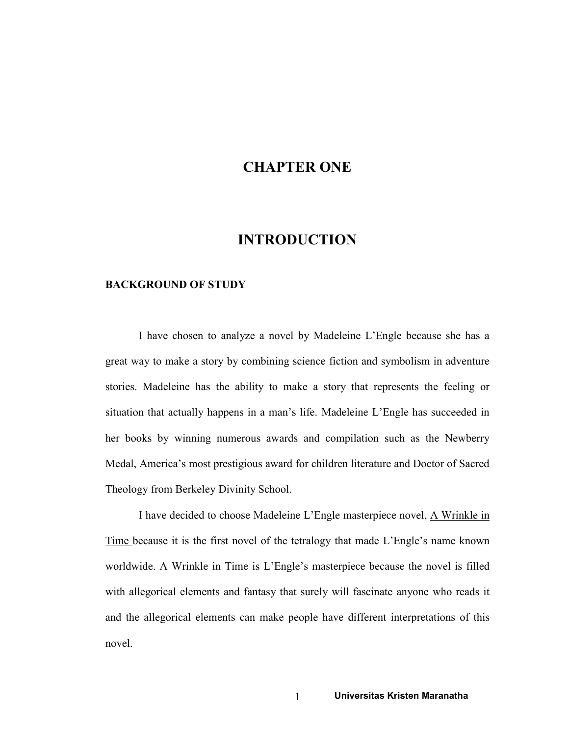# CHAPTER ONE

## INTRODUCTION

#### BACKGROUND OF STUDY

I have chosen to analyze a novel by Madeleine L'Engle because she has a great way to make a story by combining science fiction and symbolism in adventure stories. Madeleine has the ability to make a story that represents the feeling or situation that actually happens in a man's life. Madeleine L'Engle has succeeded in her books by winning numerous awards and compilation such as the Newberry Medal, America's most prestigious award for children literature and Doctor of Sacred Theology from Berkeley Divinity School.

I have decided to choose Madeleine L'Engle masterpiece novel, A Wrinkle in Time because it is the first novel of the tetralogy that made L'Engle's name known worldwide. A Wrinkle in Time is L'Engle's masterpiece because the novel is filled with allegorical elements and fantasy that surely will fascinate anyone who reads it and the allegorical elements can make people have different interpretations of this novel.

1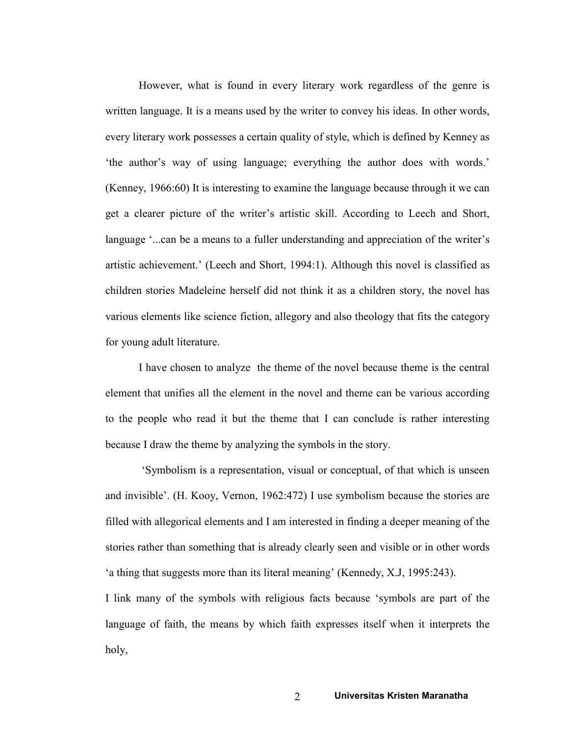However, what is found in every literary work regardless of the genre is written language. It is a means used by the writer to convey his ideas. In other words, every literary work possesses a certain quality of style, which is defined by Kenney as 'the author's way of using language; everything the author does with words.' (Kenney, 1966:60) It is interesting to examine the language because through it we can get a clearer picture of the writer's artistic skill. According to Leech and Short, language '...can be a means to a fuller understanding and appreciation of the writer's artistic achievement.' (Leech and Short, 1994:1). Although this novel is classified as children stories Madeleine herself did not think it as a children story, the novel has various elements like science fiction, allegory and also theology that fits the category for young adult literature.

I have chosen to analyze the theme of the novel because theme is the central element that unifies all the element in the novel and theme can be various according to the people who read it but the theme that I can conclude is rather interesting because I draw the theme by analyzing the symbols in the story.

 'Symbolism is a representation, visual or conceptual, of that which is unseen and invisible'. (H. Kooy, Vernon, 1962:472) I use symbolism because the stories are filled with allegorical elements and I am interested in finding a deeper meaning of the stories rather than something that is already clearly seen and visible or in other words 'a thing that suggests more than its literal meaning' (Kennedy, X.J, 1995:243).

I link many of the symbols with religious facts because 'symbols are part of the language of faith, the means by which faith expresses itself when it interprets the holy,

2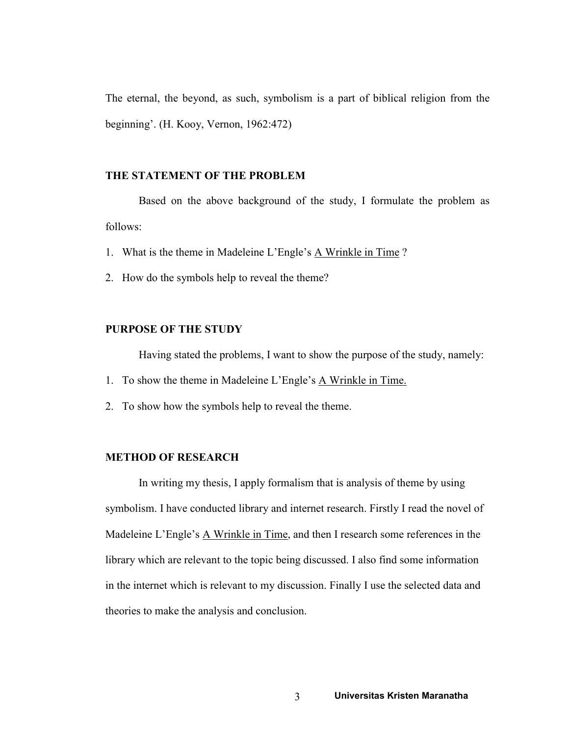The eternal, the beyond, as such, symbolism is a part of biblical religion from the beginning'. (H. Kooy, Vernon, 1962:472)

### THE STATEMENT OF THE PROBLEM

Based on the above background of the study, I formulate the problem as follows:

- 1. What is the theme in Madeleine L'Engle's A Wrinkle in Time ?
- 2. How do the symbols help to reveal the theme?

### PURPOSE OF THE STUDY

Having stated the problems, I want to show the purpose of the study, namely:

- 1. To show the theme in Madeleine L'Engle's A Wrinkle in Time.
- 2. To show how the symbols help to reveal the theme.

## METHOD OF RESEARCH

In writing my thesis, I apply formalism that is analysis of theme by using symbolism. I have conducted library and internet research. Firstly I read the novel of Madeleine L'Engle's A Wrinkle in Time, and then I research some references in the library which are relevant to the topic being discussed. I also find some information in the internet which is relevant to my discussion. Finally I use the selected data and theories to make the analysis and conclusion.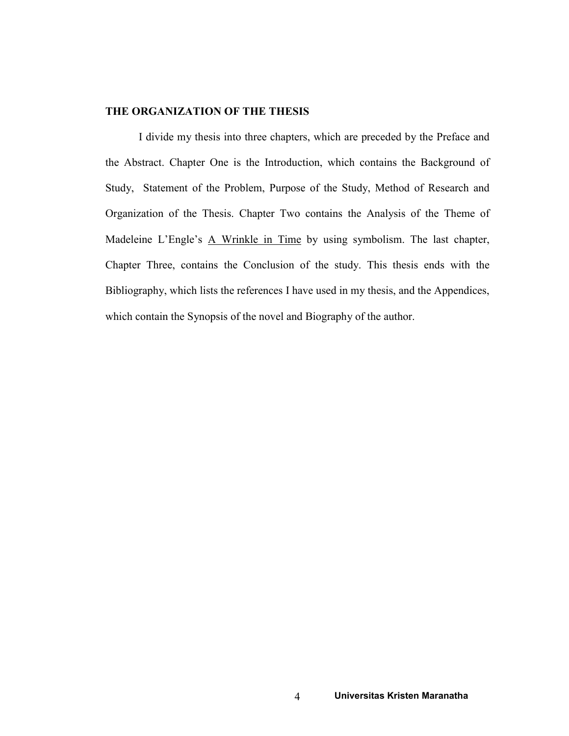#### THE ORGANIZATION OF THE THESIS

I divide my thesis into three chapters, which are preceded by the Preface and the Abstract. Chapter One is the Introduction, which contains the Background of Study, Statement of the Problem, Purpose of the Study, Method of Research and Organization of the Thesis. Chapter Two contains the Analysis of the Theme of Madeleine L'Engle's A Wrinkle in Time by using symbolism. The last chapter, Chapter Three, contains the Conclusion of the study. This thesis ends with the Bibliography, which lists the references I have used in my thesis, and the Appendices, which contain the Synopsis of the novel and Biography of the author.